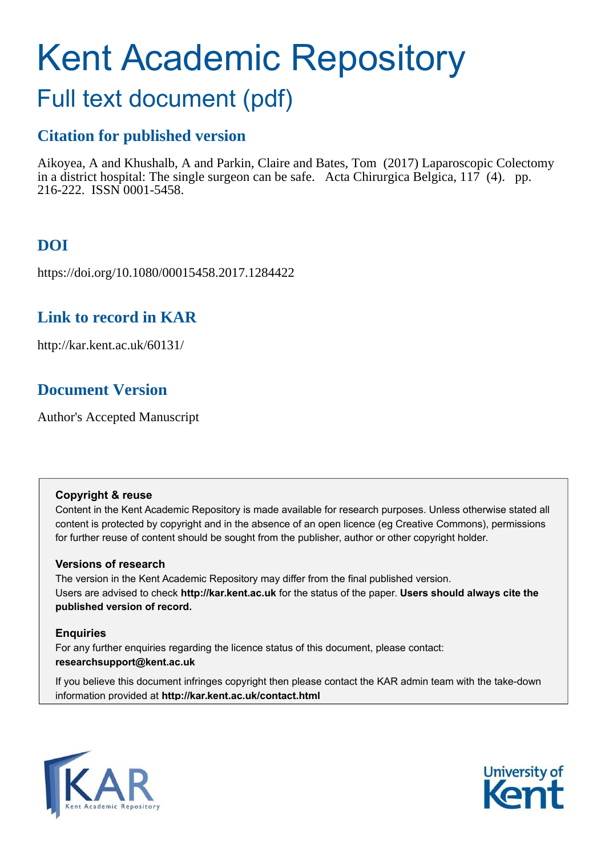# Kent Academic Repository

## Full text document (pdf)

## **Citation for published version**

Aikoyea, A and Khushalb, A and Parkin, Claire and Bates, Tom (2017) Laparoscopic Colectomy in a district hospital: The single surgeon can be safe. Acta Chirurgica Belgica,  $117$  (4). pp. 216-222. ISSN 0001-5458.

## **DOI**

https://doi.org/10.1080/00015458.2017.1284422

## **Link to record in KAR**

http://kar.kent.ac.uk/60131/

## **Document Version**

Author's Accepted Manuscript

#### **Copyright & reuse**

Content in the Kent Academic Repository is made available for research purposes. Unless otherwise stated all content is protected by copyright and in the absence of an open licence (eg Creative Commons), permissions for further reuse of content should be sought from the publisher, author or other copyright holder.

#### **Versions of research**

The version in the Kent Academic Repository may differ from the final published version. Users are advised to check **http://kar.kent.ac.uk** for the status of the paper. **Users should always cite the published version of record.**

#### **Enquiries**

For any further enquiries regarding the licence status of this document, please contact: **researchsupport@kent.ac.uk**

If you believe this document infringes copyright then please contact the KAR admin team with the take-down information provided at **http://kar.kent.ac.uk/contact.html**



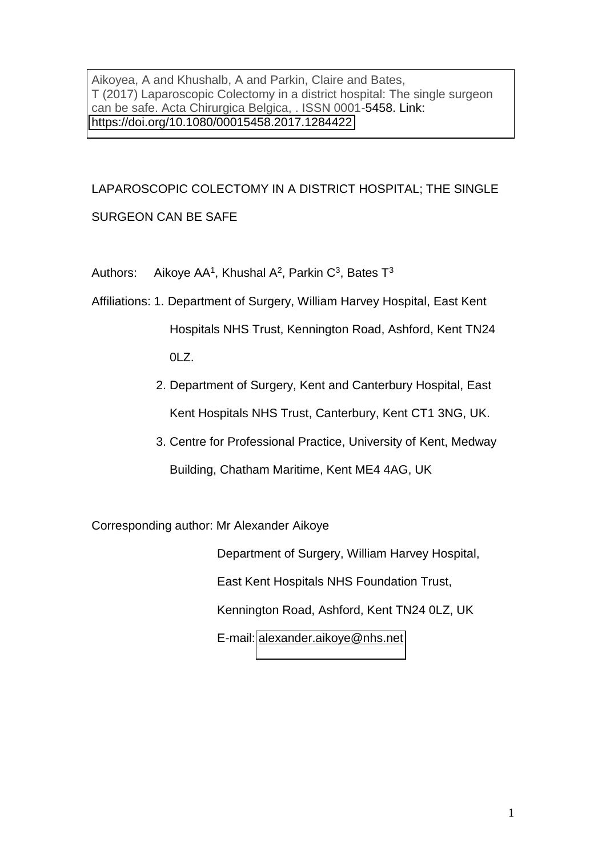Aikoyea, A and Khushalb, A and Parkin, Claire and Bates, T (2017) Laparoscopic Colectomy in a district hospital: The single surgeon can be safe. Acta Chirurgica Belgica, . ISSN 0001-5458. Link: <https://doi.org/10.1080/00015458.2017.1284422>

## LAPAROSCOPIC COLECTOMY IN A DISTRICT HOSPITAL; THE SINGLE SURGEON CAN BE SAFE

Authors: Aikoye AA<sup>1</sup>, Khushal A<sup>2</sup>, Parkin C<sup>3</sup>, Bates  $T^3$ 

- Affiliations: 1. Department of Surgery, William Harvey Hospital, East Kent Hospitals NHS Trust, Kennington Road, Ashford, Kent TN24 0LZ.
	- 2. Department of Surgery, Kent and Canterbury Hospital, East Kent Hospitals NHS Trust, Canterbury, Kent CT1 3NG, UK.
	- 3. Centre for Professional Practice, University of Kent, Medway Building, Chatham Maritime, Kent ME4 4AG, UK

Corresponding author: Mr Alexander Aikoye

 Department of Surgery, William Harvey Hospital, East Kent Hospitals NHS Foundation Trust, Kennington Road, Ashford, Kent TN24 0LZ, UK E-mail: [alexander.aikoye@nhs.net](mailto:alexander.aikoye@nhs.net)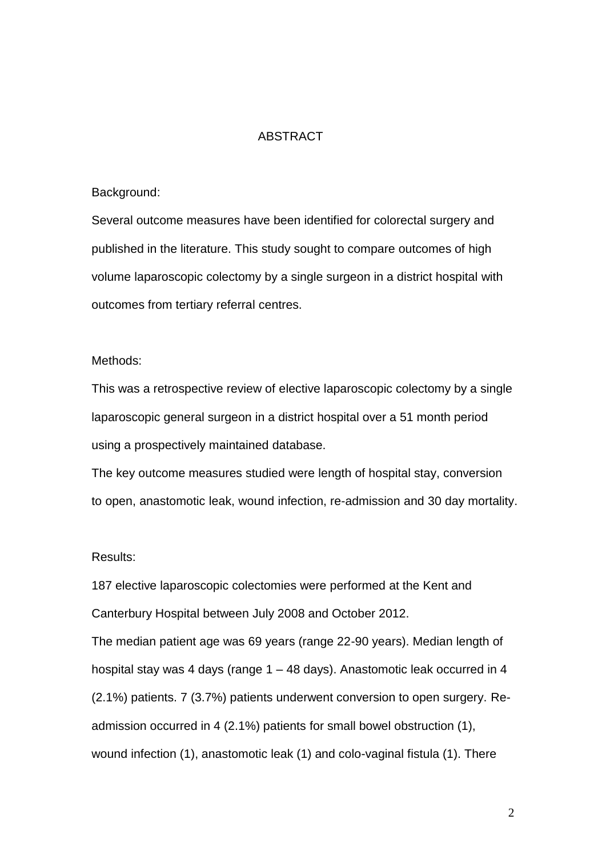#### ABSTRACT

#### Background:

Several outcome measures have been identified for colorectal surgery and published in the literature. This study sought to compare outcomes of high volume laparoscopic colectomy by a single surgeon in a district hospital with outcomes from tertiary referral centres.

#### Methods:

This was a retrospective review of elective laparoscopic colectomy by a single laparoscopic general surgeon in a district hospital over a 51 month period using a prospectively maintained database.

The key outcome measures studied were length of hospital stay, conversion to open, anastomotic leak, wound infection, re-admission and 30 day mortality.

#### Results:

187 elective laparoscopic colectomies were performed at the Kent and Canterbury Hospital between July 2008 and October 2012.

The median patient age was 69 years (range 22-90 years). Median length of hospital stay was 4 days (range 1 – 48 days). Anastomotic leak occurred in 4 (2.1%) patients. 7 (3.7%) patients underwent conversion to open surgery. Readmission occurred in 4 (2.1%) patients for small bowel obstruction (1), wound infection (1), anastomotic leak (1) and colo-vaginal fistula (1). There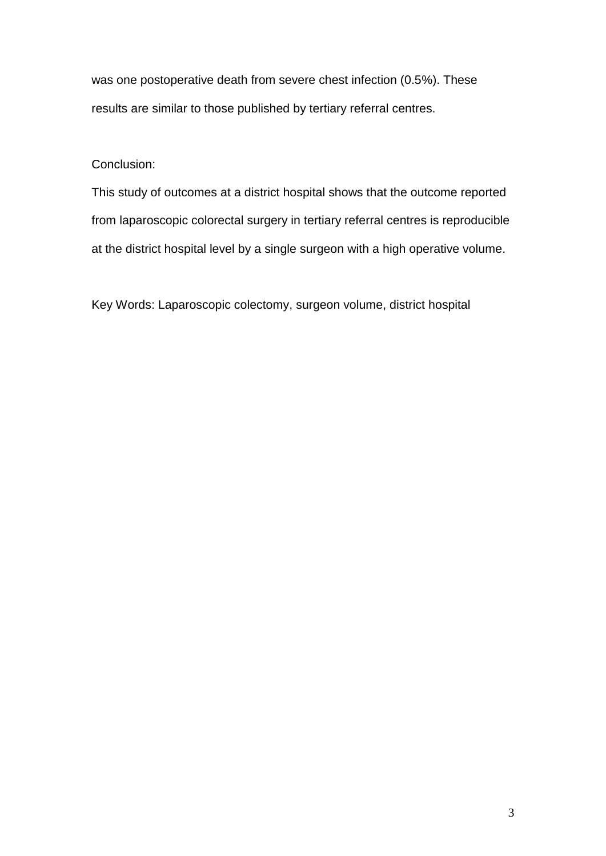was one postoperative death from severe chest infection (0.5%). These results are similar to those published by tertiary referral centres.

#### Conclusion:

This study of outcomes at a district hospital shows that the outcome reported from laparoscopic colorectal surgery in tertiary referral centres is reproducible at the district hospital level by a single surgeon with a high operative volume.

Key Words: Laparoscopic colectomy, surgeon volume, district hospital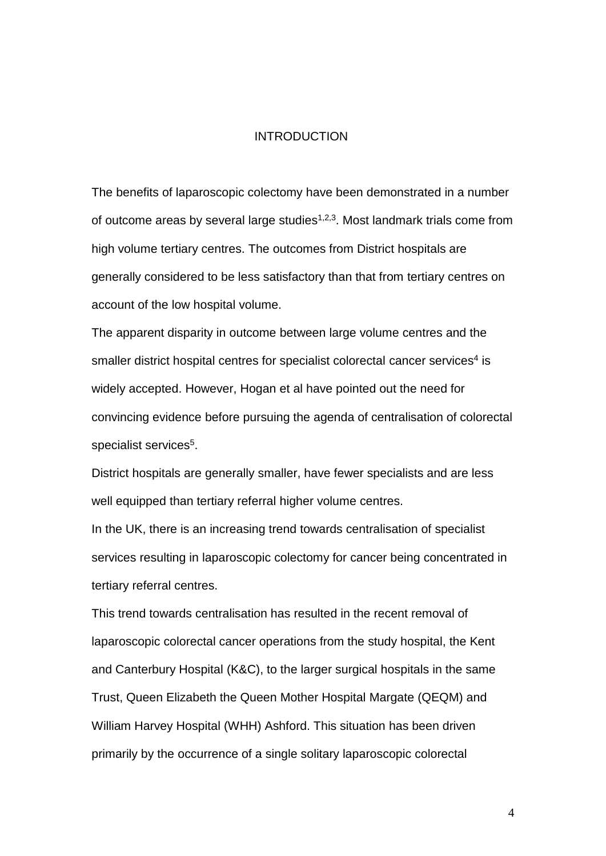#### INTRODUCTION

The benefits of laparoscopic colectomy have been demonstrated in a number of outcome areas by several large studies<sup> $1,2,3$ </sup>. Most landmark trials come from high volume tertiary centres. The outcomes from District hospitals are generally considered to be less satisfactory than that from tertiary centres on account of the low hospital volume.

The apparent disparity in outcome between large volume centres and the smaller district hospital centres for specialist colorectal cancer services<sup>4</sup> is widely accepted. However, Hogan et al have pointed out the need for convincing evidence before pursuing the agenda of centralisation of colorectal specialist services<sup>5</sup>.

District hospitals are generally smaller, have fewer specialists and are less well equipped than tertiary referral higher volume centres.

In the UK, there is an increasing trend towards centralisation of specialist services resulting in laparoscopic colectomy for cancer being concentrated in tertiary referral centres.

This trend towards centralisation has resulted in the recent removal of laparoscopic colorectal cancer operations from the study hospital, the Kent and Canterbury Hospital (K&C), to the larger surgical hospitals in the same Trust, Queen Elizabeth the Queen Mother Hospital Margate (QEQM) and William Harvey Hospital (WHH) Ashford. This situation has been driven primarily by the occurrence of a single solitary laparoscopic colorectal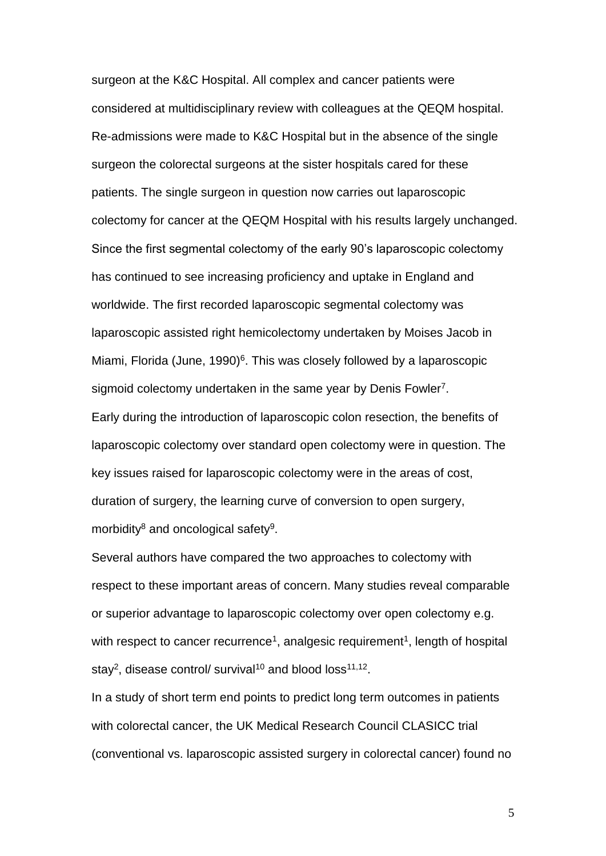surgeon at the K&C Hospital. All complex and cancer patients were considered at multidisciplinary review with colleagues at the QEQM hospital. Re-admissions were made to K&C Hospital but in the absence of the single surgeon the colorectal surgeons at the sister hospitals cared for these patients. The single surgeon in question now carries out laparoscopic colectomy for cancer at the QEQM Hospital with his results largely unchanged. Since the first segmental colectomy of the early 90's laparoscopic colectomy has continued to see increasing proficiency and uptake in England and worldwide. The first recorded laparoscopic segmental colectomy was laparoscopic assisted right hemicolectomy undertaken by Moises Jacob in Miami, Florida (June, 1990)<sup>6</sup>. This was closely followed by a laparoscopic sigmoid colectomy undertaken in the same year by Denis Fowler<sup>7</sup>. Early during the introduction of laparoscopic colon resection, the benefits of laparoscopic colectomy over standard open colectomy were in question. The key issues raised for laparoscopic colectomy were in the areas of cost, duration of surgery, the learning curve of conversion to open surgery, morbidity<sup>8</sup> and oncological safety<sup>9</sup>.

Several authors have compared the two approaches to colectomy with respect to these important areas of concern. Many studies reveal comparable or superior advantage to laparoscopic colectomy over open colectomy e.g. with respect to cancer recurrence<sup>1</sup>, analgesic requirement<sup>1</sup>, length of hospital stay<sup>2</sup>, disease control/ survival<sup>10</sup> and blood loss<sup>11,12</sup>.

In a study of short term end points to predict long term outcomes in patients with colorectal cancer, the UK Medical Research Council CLASICC trial (conventional vs. laparoscopic assisted surgery in colorectal cancer) found no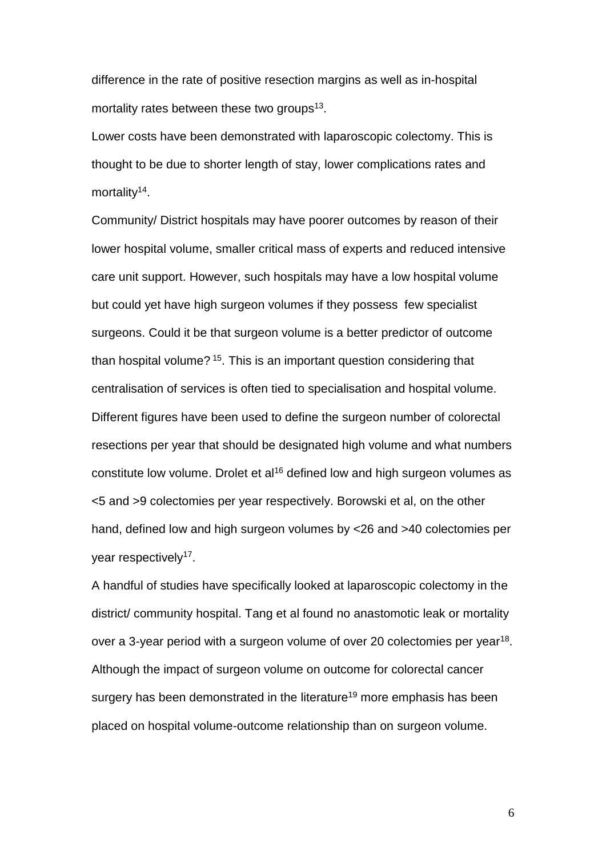difference in the rate of positive resection margins as well as in-hospital mortality rates between these two groups<sup>13</sup>.

Lower costs have been demonstrated with laparoscopic colectomy. This is thought to be due to shorter length of stay, lower complications rates and mortality<sup>14</sup>.

Community/ District hospitals may have poorer outcomes by reason of their lower hospital volume, smaller critical mass of experts and reduced intensive care unit support. However, such hospitals may have a low hospital volume but could yet have high surgeon volumes if they possess few specialist surgeons. Could it be that surgeon volume is a better predictor of outcome than hospital volume?<sup>15</sup>. This is an important question considering that centralisation of services is often tied to specialisation and hospital volume. Different figures have been used to define the surgeon number of colorectal resections per year that should be designated high volume and what numbers constitute low volume. Drolet et al<sup>16</sup> defined low and high surgeon volumes as <5 and >9 colectomies per year respectively. Borowski et al, on the other hand, defined low and high surgeon volumes by <26 and >40 colectomies per year respectively<sup>17</sup>.

A handful of studies have specifically looked at laparoscopic colectomy in the district/ community hospital. Tang et al found no anastomotic leak or mortality over a 3-year period with a surgeon volume of over 20 colectomies per year<sup>18</sup>. Although the impact of surgeon volume on outcome for colorectal cancer surgery has been demonstrated in the literature<sup>19</sup> more emphasis has been placed on hospital volume-outcome relationship than on surgeon volume.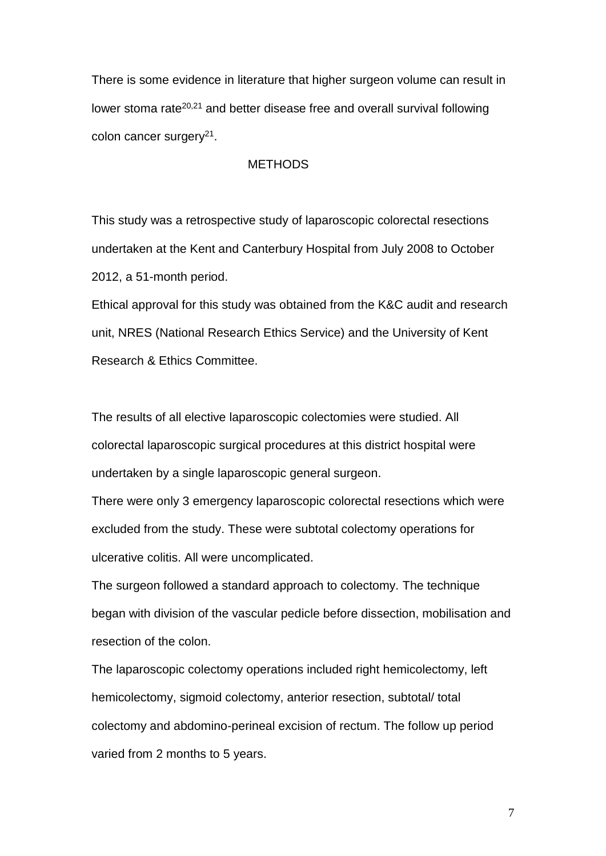There is some evidence in literature that higher surgeon volume can result in lower stoma rate<sup>20,21</sup> and better disease free and overall survival following colon cancer surgery<sup>21</sup>.

#### **METHODS**

This study was a retrospective study of laparoscopic colorectal resections undertaken at the Kent and Canterbury Hospital from July 2008 to October 2012, a 51-month period.

Ethical approval for this study was obtained from the K&C audit and research unit, NRES (National Research Ethics Service) and the University of Kent Research & Ethics Committee.

The results of all elective laparoscopic colectomies were studied. All colorectal laparoscopic surgical procedures at this district hospital were undertaken by a single laparoscopic general surgeon.

There were only 3 emergency laparoscopic colorectal resections which were excluded from the study. These were subtotal colectomy operations for ulcerative colitis. All were uncomplicated.

The surgeon followed a standard approach to colectomy. The technique began with division of the vascular pedicle before dissection, mobilisation and resection of the colon.

The laparoscopic colectomy operations included right hemicolectomy, left hemicolectomy, sigmoid colectomy, anterior resection, subtotal/ total colectomy and abdomino-perineal excision of rectum. The follow up period varied from 2 months to 5 years.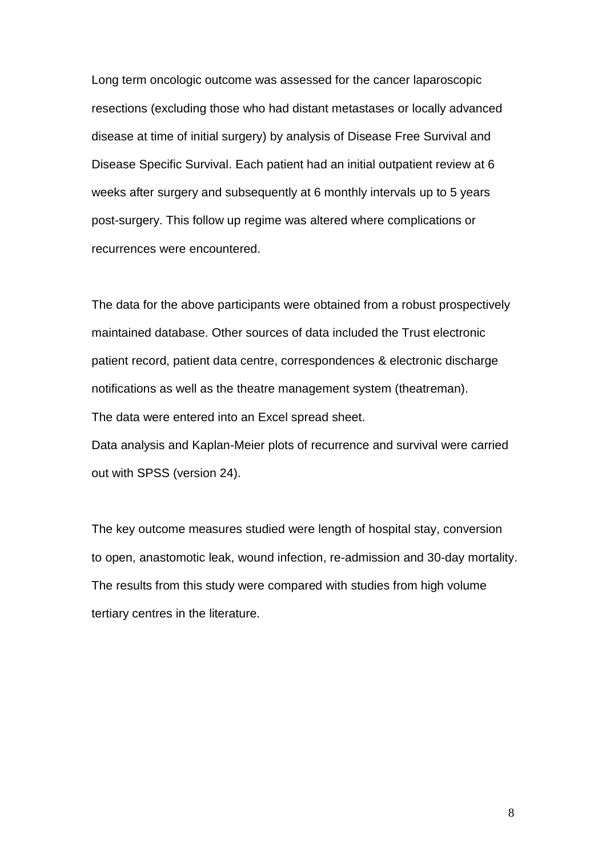Long term oncologic outcome was assessed for the cancer laparoscopic resections (excluding those who had distant metastases or locally advanced disease at time of initial surgery) by analysis of Disease Free Survival and Disease Specific Survival. Each patient had an initial outpatient review at 6 weeks after surgery and subsequently at 6 monthly intervals up to 5 years post-surgery. This follow up regime was altered where complications or recurrences were encountered.

The data for the above participants were obtained from a robust prospectively maintained database. Other sources of data included the Trust electronic patient record, patient data centre, correspondences & electronic discharge notifications as well as the theatre management system (theatreman). The data were entered into an Excel spread sheet. Data analysis and Kaplan-Meier plots of recurrence and survival were carried out with SPSS (version 24).

The key outcome measures studied were length of hospital stay, conversion to open, anastomotic leak, wound infection, re-admission and 30-day mortality. The results from this study were compared with studies from high volume tertiary centres in the literature.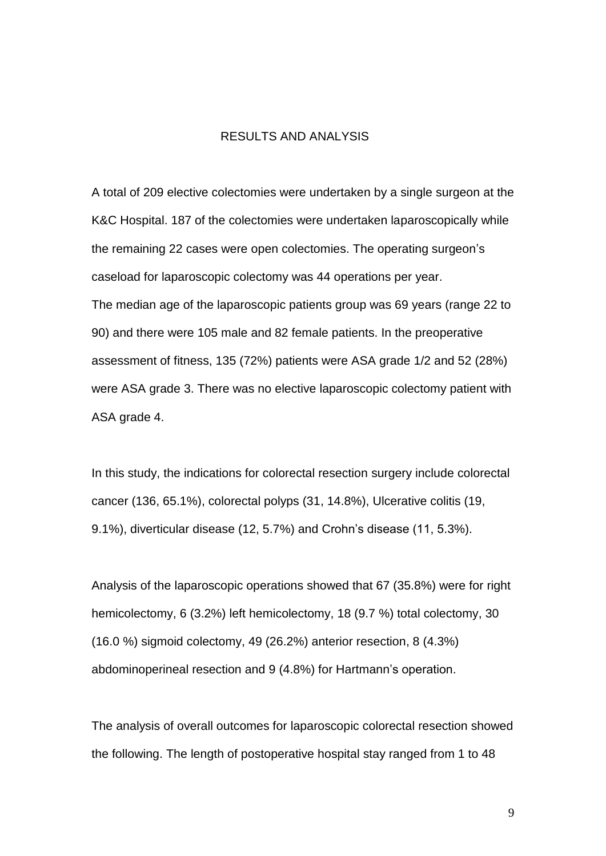#### RESULTS AND ANALYSIS

A total of 209 elective colectomies were undertaken by a single surgeon at the K&C Hospital. 187 of the colectomies were undertaken laparoscopically while the remaining 22 cases were open colectomies. The operating surgeon's caseload for laparoscopic colectomy was 44 operations per year. The median age of the laparoscopic patients group was 69 years (range 22 to 90) and there were 105 male and 82 female patients. In the preoperative assessment of fitness, 135 (72%) patients were ASA grade 1/2 and 52 (28%) were ASA grade 3. There was no elective laparoscopic colectomy patient with ASA grade 4.

In this study, the indications for colorectal resection surgery include colorectal cancer (136, 65.1%), colorectal polyps (31, 14.8%), Ulcerative colitis (19, 9.1%), diverticular disease (12, 5.7%) and Crohn's disease (11, 5.3%).

Analysis of the laparoscopic operations showed that 67 (35.8%) were for right hemicolectomy, 6 (3.2%) left hemicolectomy, 18 (9.7 %) total colectomy, 30 (16.0 %) sigmoid colectomy, 49 (26.2%) anterior resection, 8 (4.3%) abdominoperineal resection and 9 (4.8%) for Hartmann's operation.

The analysis of overall outcomes for laparoscopic colorectal resection showed the following. The length of postoperative hospital stay ranged from 1 to 48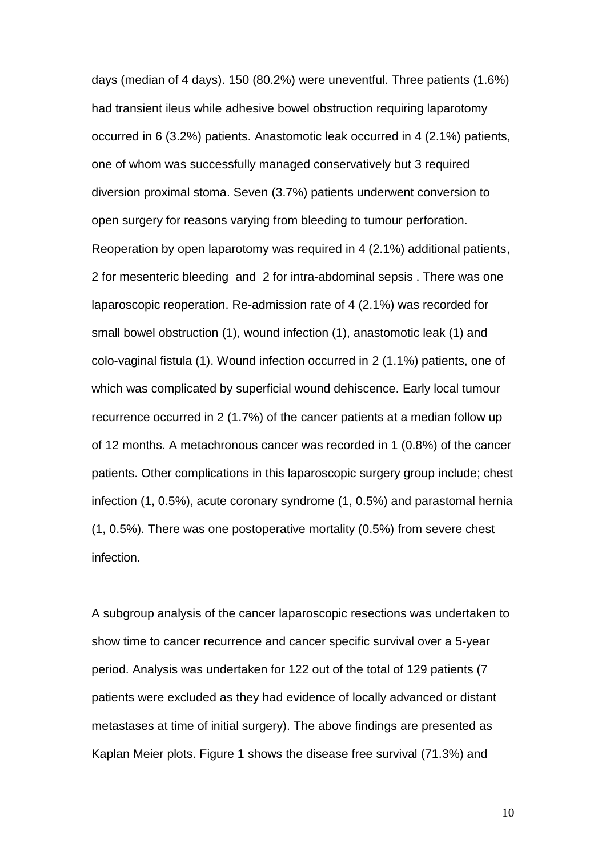days (median of 4 days). 150 (80.2%) were uneventful. Three patients (1.6%) had transient ileus while adhesive bowel obstruction requiring laparotomy occurred in 6 (3.2%) patients. Anastomotic leak occurred in 4 (2.1%) patients, one of whom was successfully managed conservatively but 3 required diversion proximal stoma. Seven (3.7%) patients underwent conversion to open surgery for reasons varying from bleeding to tumour perforation. Reoperation by open laparotomy was required in 4 (2.1%) additional patients, 2 for mesenteric bleeding and 2 for intra-abdominal sepsis . There was one laparoscopic reoperation. Re-admission rate of 4 (2.1%) was recorded for small bowel obstruction (1), wound infection (1), anastomotic leak (1) and colo-vaginal fistula (1). Wound infection occurred in 2 (1.1%) patients, one of which was complicated by superficial wound dehiscence. Early local tumour recurrence occurred in 2 (1.7%) of the cancer patients at a median follow up of 12 months. A metachronous cancer was recorded in 1 (0.8%) of the cancer patients. Other complications in this laparoscopic surgery group include; chest infection (1, 0.5%), acute coronary syndrome (1, 0.5%) and parastomal hernia (1, 0.5%). There was one postoperative mortality (0.5%) from severe chest infection.

A subgroup analysis of the cancer laparoscopic resections was undertaken to show time to cancer recurrence and cancer specific survival over a 5-year period. Analysis was undertaken for 122 out of the total of 129 patients (7 patients were excluded as they had evidence of locally advanced or distant metastases at time of initial surgery). The above findings are presented as Kaplan Meier plots. Figure 1 shows the disease free survival (71.3%) and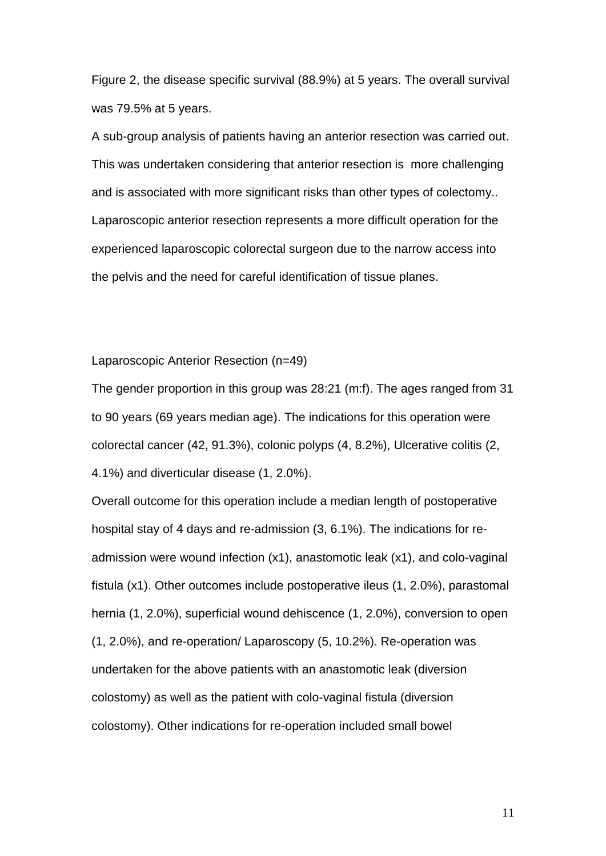Figure 2, the disease specific survival (88.9%) at 5 years. The overall survival was 79.5% at 5 years.

A sub-group analysis of patients having an anterior resection was carried out. This was undertaken considering that anterior resection is more challenging and is associated with more significant risks than other types of colectomy.. Laparoscopic anterior resection represents a more difficult operation for the experienced laparoscopic colorectal surgeon due to the narrow access into the pelvis and the need for careful identification of tissue planes.

#### Laparoscopic Anterior Resection (n=49)

The gender proportion in this group was 28:21 (m:f). The ages ranged from 31 to 90 years (69 years median age). The indications for this operation were colorectal cancer (42, 91.3%), colonic polyps (4, 8.2%), Ulcerative colitis (2, 4.1%) and diverticular disease (1, 2.0%).

Overall outcome for this operation include a median length of postoperative hospital stay of 4 days and re-admission (3, 6.1%). The indications for readmission were wound infection (x1), anastomotic leak (x1), and colo-vaginal fistula (x1). Other outcomes include postoperative ileus (1, 2.0%), parastomal hernia (1, 2.0%), superficial wound dehiscence (1, 2.0%), conversion to open (1, 2.0%), and re-operation/ Laparoscopy (5, 10.2%). Re-operation was undertaken for the above patients with an anastomotic leak (diversion colostomy) as well as the patient with colo-vaginal fistula (diversion colostomy). Other indications for re-operation included small bowel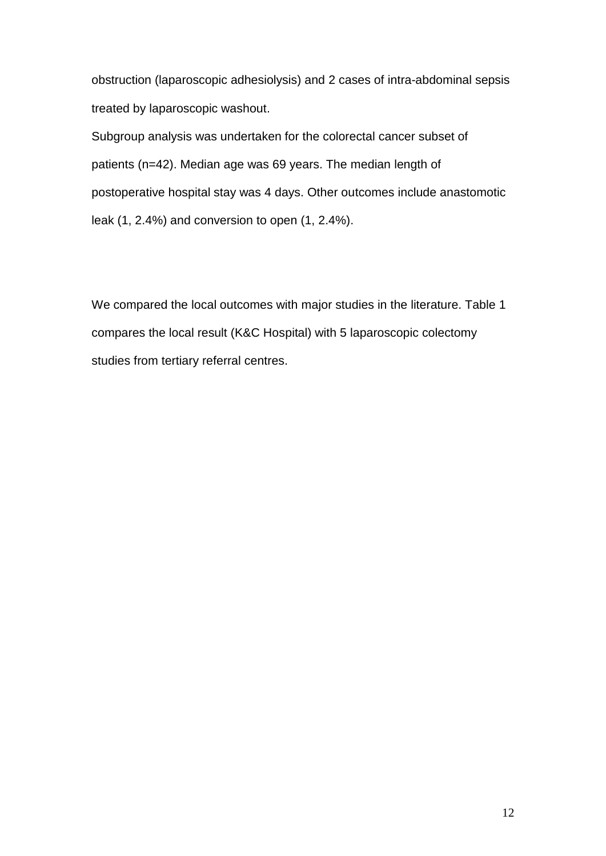obstruction (laparoscopic adhesiolysis) and 2 cases of intra-abdominal sepsis treated by laparoscopic washout.

Subgroup analysis was undertaken for the colorectal cancer subset of patients (n=42). Median age was 69 years. The median length of postoperative hospital stay was 4 days. Other outcomes include anastomotic leak (1, 2.4%) and conversion to open (1, 2.4%).

We compared the local outcomes with major studies in the literature. Table 1 compares the local result (K&C Hospital) with 5 laparoscopic colectomy studies from tertiary referral centres.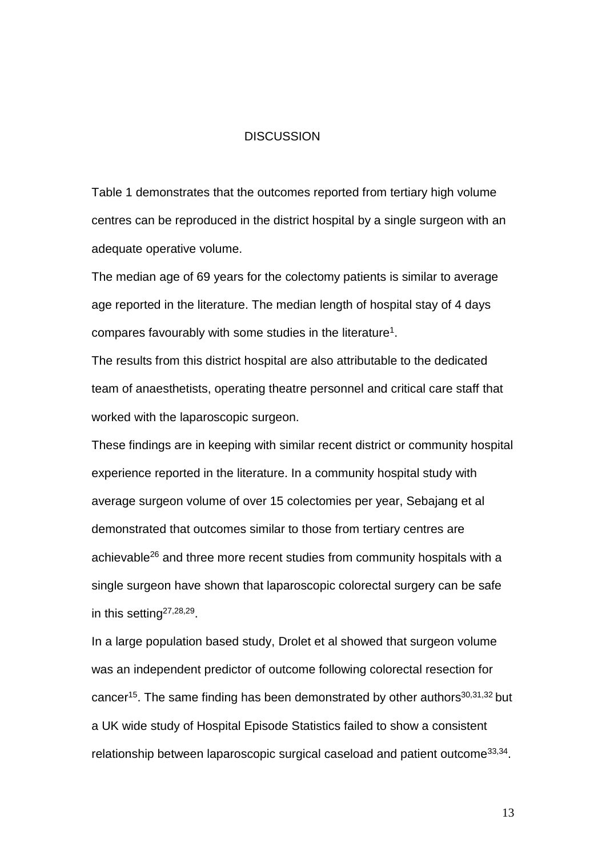#### **DISCUSSION**

Table 1 demonstrates that the outcomes reported from tertiary high volume centres can be reproduced in the district hospital by a single surgeon with an adequate operative volume.

The median age of 69 years for the colectomy patients is similar to average age reported in the literature. The median length of hospital stay of 4 days compares favourably with some studies in the literature<sup>1</sup>.

The results from this district hospital are also attributable to the dedicated team of anaesthetists, operating theatre personnel and critical care staff that worked with the laparoscopic surgeon.

These findings are in keeping with similar recent district or community hospital experience reported in the literature. In a community hospital study with average surgeon volume of over 15 colectomies per year, Sebajang et al demonstrated that outcomes similar to those from tertiary centres are achievable<sup>26</sup> and three more recent studies from community hospitals with a single surgeon have shown that laparoscopic colorectal surgery can be safe in this setting<sup>27,28,29</sup>.

In a large population based study, Drolet et al showed that surgeon volume was an independent predictor of outcome following colorectal resection for cancer<sup>15</sup>. The same finding has been demonstrated by other authors<sup>30,31,32</sup> but a UK wide study of Hospital Episode Statistics failed to show a consistent relationship between laparoscopic surgical caseload and patient outcome<sup>33,34</sup>.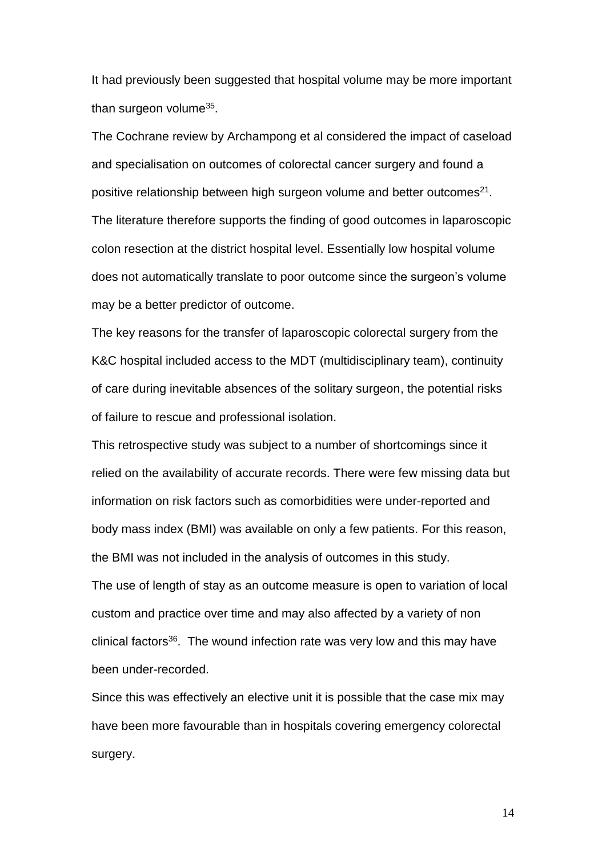It had previously been suggested that hospital volume may be more important than surgeon volume<sup>35</sup>.

The Cochrane review by Archampong et al considered the impact of caseload and specialisation on outcomes of colorectal cancer surgery and found a positive relationship between high surgeon volume and better outcomes<sup>21</sup>. The literature therefore supports the finding of good outcomes in laparoscopic colon resection at the district hospital level. Essentially low hospital volume does not automatically translate to poor outcome since the surgeon's volume may be a better predictor of outcome.

The key reasons for the transfer of laparoscopic colorectal surgery from the K&C hospital included access to the MDT (multidisciplinary team), continuity of care during inevitable absences of the solitary surgeon, the potential risks of failure to rescue and professional isolation.

This retrospective study was subject to a number of shortcomings since it relied on the availability of accurate records. There were few missing data but information on risk factors such as comorbidities were under-reported and body mass index (BMI) was available on only a few patients. For this reason, the BMI was not included in the analysis of outcomes in this study. The use of length of stay as an outcome measure is open to variation of local custom and practice over time and may also affected by a variety of non clinical factors<sup>36</sup>. The wound infection rate was very low and this may have been under-recorded.

Since this was effectively an elective unit it is possible that the case mix may have been more favourable than in hospitals covering emergency colorectal surgery.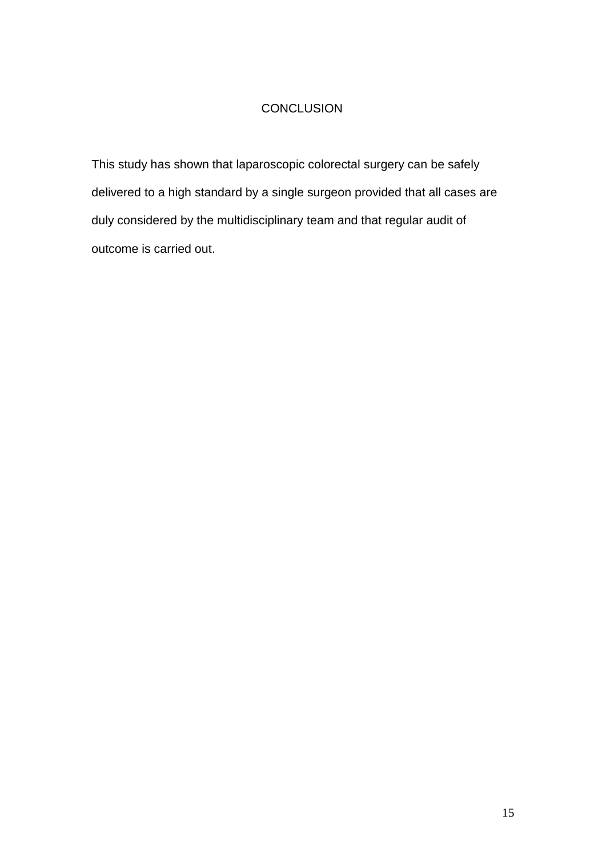#### **CONCLUSION**

This study has shown that laparoscopic colorectal surgery can be safely delivered to a high standard by a single surgeon provided that all cases are duly considered by the multidisciplinary team and that regular audit of outcome is carried out.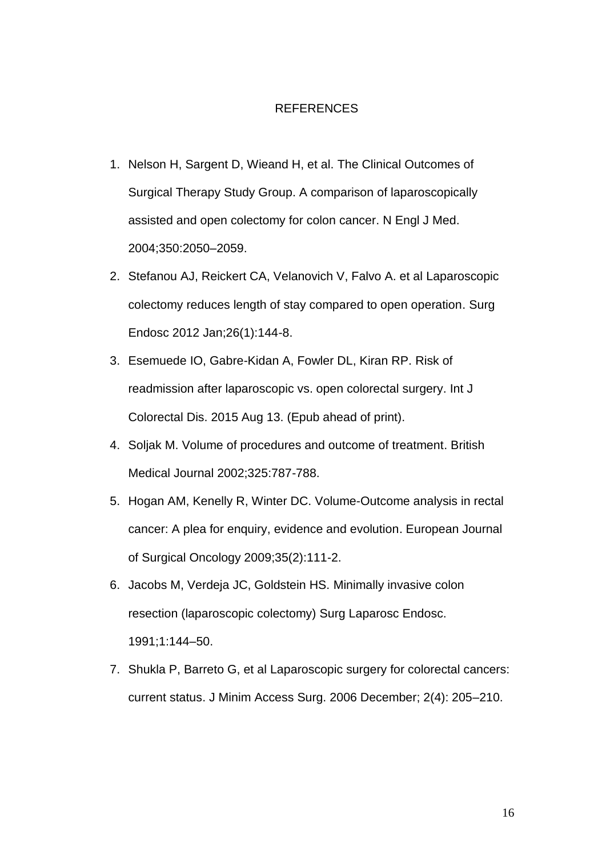#### REFERENCES

- 1. Nelson H, Sargent D, Wieand H, et al. The Clinical Outcomes of Surgical Therapy Study Group. A comparison of laparoscopically assisted and open colectomy for colon cancer. N Engl J Med. 2004;350:2050–2059.
- 2. Stefanou AJ, Reickert CA, Velanovich V, Falvo A. et al Laparoscopic colectomy reduces length of stay compared to open operation. Surg Endosc 2012 Jan;26(1):144-8.
- 3. Esemuede IO, Gabre-Kidan A, Fowler DL, Kiran RP. Risk of readmission after laparoscopic vs. open colorectal surgery. Int J Colorectal Dis. 2015 Aug 13. (Epub ahead of print).
- 4. Soljak M. Volume of procedures and outcome of treatment. British Medical Journal 2002;325:787-788.
- 5. Hogan AM, Kenelly R, Winter DC. Volume-Outcome analysis in rectal cancer: A plea for enquiry, evidence and evolution. European Journal of Surgical Oncology 2009;35(2):111-2.
- 6. Jacobs M, Verdeja JC, Goldstein HS. Minimally invasive colon resection (laparoscopic colectomy) Surg Laparosc Endosc. 1991;1:144–50.
- 7. Shukla P, Barreto G, et al Laparoscopic surgery for colorectal cancers: current status. J Minim Access Surg. 2006 December; 2(4): 205–210.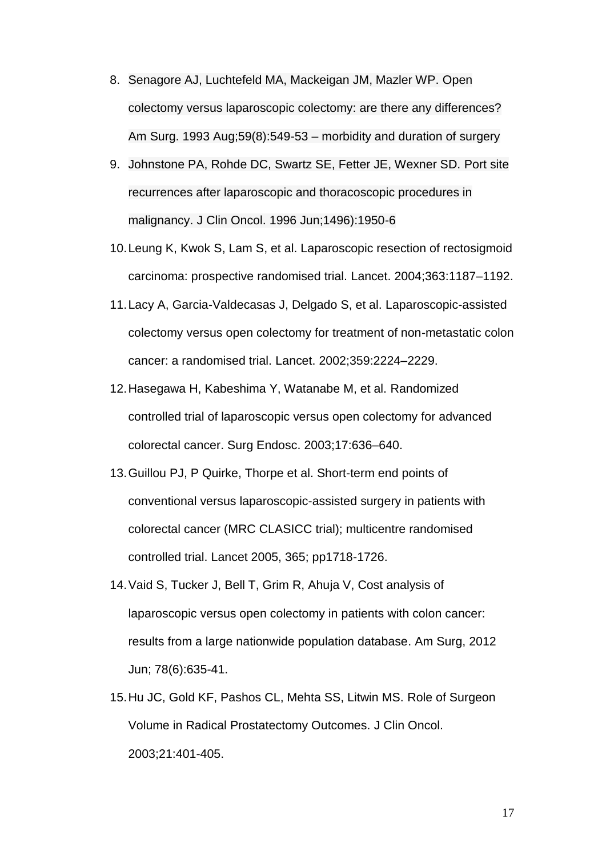- 8. Senagore AJ, Luchtefeld MA, Mackeigan JM, Mazler WP. Open colectomy versus laparoscopic colectomy: are there any differences? Am Surg. 1993 Aug;59(8):549-53 – morbidity and duration of surgery
- 9. Johnstone PA, Rohde DC, Swartz SE, Fetter JE, Wexner SD. Port site recurrences after laparoscopic and thoracoscopic procedures in malignancy. J Clin Oncol. 1996 Jun;1496):1950-6
- 10. Leung K, Kwok S, Lam S, et al. Laparoscopic resection of rectosigmoid carcinoma: prospective randomised trial. Lancet. 2004;363:1187–1192.
- 11. Lacy A, Garcia-Valdecasas J, Delgado S, et al. Laparoscopic-assisted colectomy versus open colectomy for treatment of non-metastatic colon cancer: a randomised trial. Lancet. 2002;359:2224–2229.
- 12. Hasegawa H, Kabeshima Y, Watanabe M, et al. Randomized controlled trial of laparoscopic versus open colectomy for advanced colorectal cancer. Surg Endosc. 2003;17:636–640.
- 13. Guillou PJ, P Quirke, Thorpe et al. Short-term end points of conventional versus laparoscopic-assisted surgery in patients with colorectal cancer (MRC CLASICC trial); multicentre randomised controlled trial. Lancet 2005, 365; pp1718-1726.
- 14. Vaid S, Tucker J, Bell T, Grim R, Ahuja V, Cost analysis of laparoscopic versus open colectomy in patients with colon cancer: results from a large nationwide population database. Am Surg, 2012 Jun; 78(6):635-41.
- 15. Hu JC, Gold KF, Pashos CL, Mehta SS, Litwin MS. Role of Surgeon Volume in Radical Prostatectomy Outcomes. J Clin Oncol. 2003;21:401-405.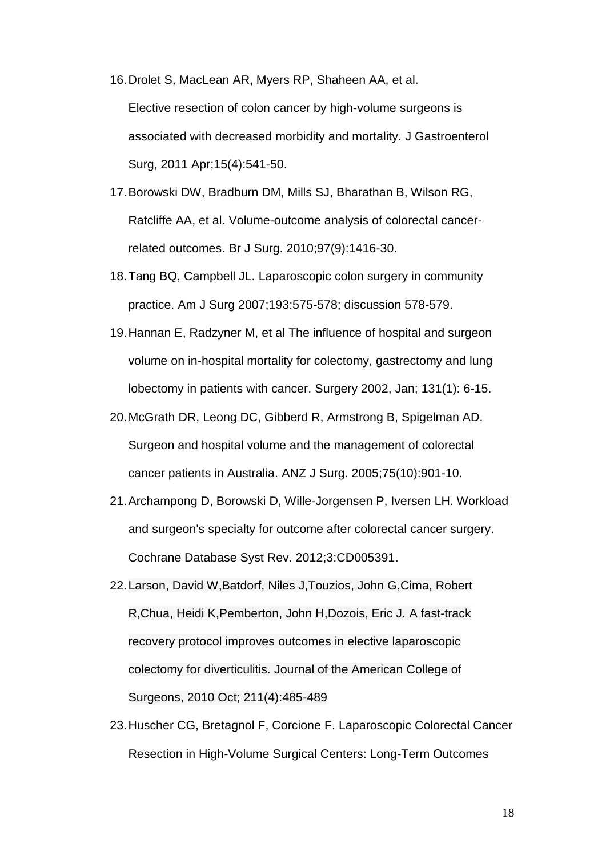16. Drolet S, MacLean AR, Myers RP, Shaheen AA, et al. Elective resection of colon cancer by high-volume surgeons is associated with decreased morbidity and mortality. J Gastroenterol Surg, 2011 Apr;15(4):541-50.

- 17. Borowski DW, Bradburn DM, Mills SJ, Bharathan B, Wilson RG, Ratcliffe AA, et al. Volume-outcome analysis of colorectal cancerrelated outcomes. Br J Surg. 2010;97(9):1416-30.
- 18. Tang BQ, Campbell JL. Laparoscopic colon surgery in community practice. Am J Surg 2007;193:575-578; discussion 578-579.
- 19. Hannan E, Radzyner M, et al The influence of hospital and surgeon volume on in-hospital mortality for colectomy, gastrectomy and lung lobectomy in patients with cancer. Surgery 2002, Jan; 131(1): 6-15.
- 20. McGrath DR, Leong DC, Gibberd R, Armstrong B, Spigelman AD. Surgeon and hospital volume and the management of colorectal cancer patients in Australia. ANZ J Surg. 2005;75(10):901-10.
- 21. Archampong D, Borowski D, Wille-Jorgensen P, Iversen LH. Workload and surgeon's specialty for outcome after colorectal cancer surgery. Cochrane Database Syst Rev. 2012;3:CD005391.
- 22. Larson, David W,Batdorf, Niles J,Touzios, John G,Cima, Robert R,Chua, Heidi K,Pemberton, John H,Dozois, Eric J. A fast-track recovery protocol improves outcomes in elective laparoscopic colectomy for diverticulitis. Journal of the American College of Surgeons, 2010 Oct; 211(4):485-489
- 23. Huscher CG, Bretagnol F, Corcione F. Laparoscopic Colorectal Cancer Resection in High-Volume Surgical Centers: Long-Term Outcomes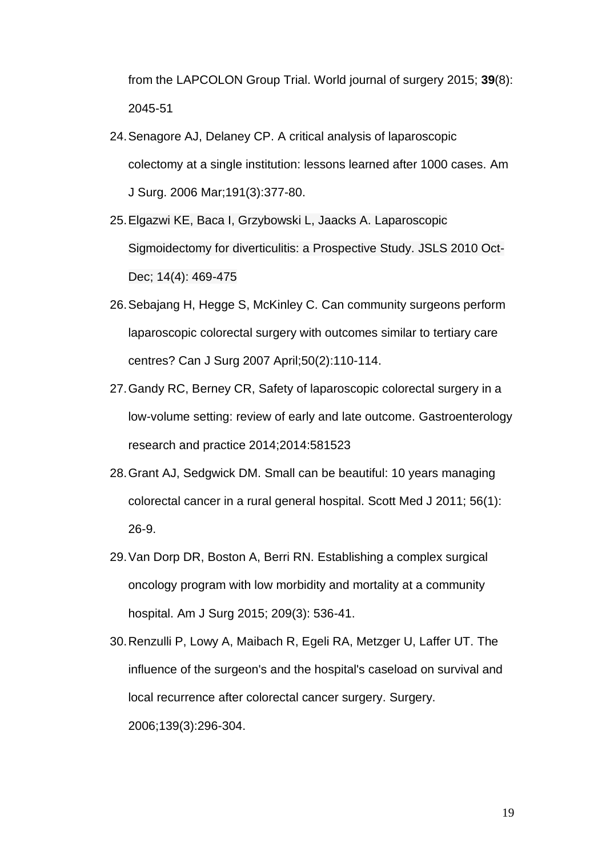from the LAPCOLON Group Trial. World journal of surgery 2015; **39**(8): 2045-51

- 24. Senagore AJ, Delaney CP. A critical analysis of laparoscopic colectomy at a single institution: lessons learned after 1000 cases. Am J Surg. 2006 Mar;191(3):377-80.
- 25. Elgazwi KE, Baca I, Grzybowski L, Jaacks A. Laparoscopic Sigmoidectomy for diverticulitis: a Prospective Study. JSLS 2010 Oct-Dec; 14(4): 469-475
- 26. Sebajang H, Hegge S, McKinley C. Can community surgeons perform laparoscopic colorectal surgery with outcomes similar to tertiary care centres? Can J Surg 2007 April;50(2):110-114.
- 27. Gandy RC, Berney CR, Safety of laparoscopic colorectal surgery in a low-volume setting: review of early and late outcome. Gastroenterology research and practice 2014;2014:581523
- 28. Grant AJ, Sedgwick DM. Small can be beautiful: 10 years managing colorectal cancer in a rural general hospital. Scott Med J 2011; 56(1): 26-9.
- 29. Van Dorp DR, Boston A, Berri RN. Establishing a complex surgical oncology program with low morbidity and mortality at a community hospital. Am J Surg 2015; 209(3): 536-41.
- 30. Renzulli P, Lowy A, Maibach R, Egeli RA, Metzger U, Laffer UT. The influence of the surgeon's and the hospital's caseload on survival and local recurrence after colorectal cancer surgery. Surgery. 2006;139(3):296-304.